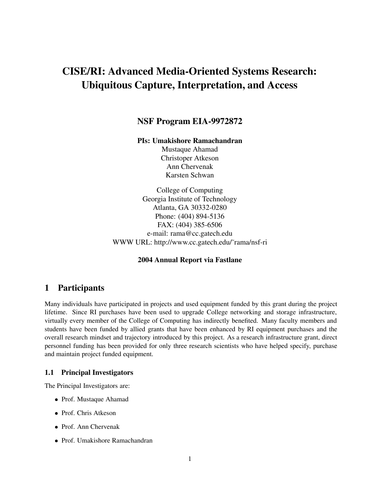# **CISE/RI: Advanced Media-Oriented Systems Research: Ubiquitous Capture, Interpretation, and Access**

# **NSF Program EIA-9972872**

#### **PIs: Umakishore Ramachandran**

Mustaque Ahamad Christoper Atkeson Ann Chervenak Karsten Schwan

College of Computing Georgia Institute of Technology Atlanta, GA 30332-0280 Phone: (404) 894-5136 FAX: (404) 385-6506 e-mail: rama@cc.gatech.edu WWW URL: http://www.cc.gatech.edu/˜rama/nsf-ri

### **2004 Annual Report via Fastlane**

# **1 Participants**

Many individuals have participated in projects and used equipment funded by this grant during the project lifetime. Since RI purchases have been used to upgrade College networking and storage infrastructure, virtually every member of the College of Computing has indirectly benefited. Many faculty members and students have been funded by allied grants that have been enhanced by RI equipment purchases and the overall research mindset and trajectory introduced by this project. As a research infrastructure grant, direct personnel funding has been provided for only three research scientists who have helped specify, purchase and maintain project funded equipment.

#### **1.1 Principal Investigators**

The Principal Investigators are:

- Prof. Mustaque Ahamad
- Prof. Chris Atkeson
- Prof. Ann Chervenak
- Prof. Umakishore Ramachandran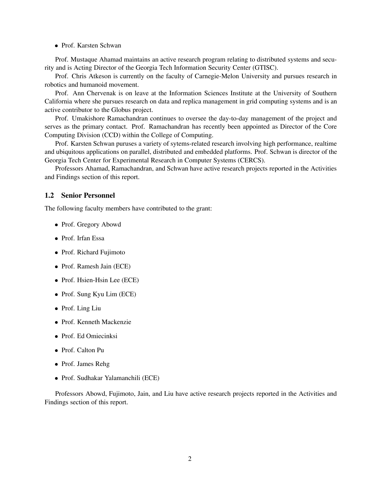#### Prof. Karsten Schwan

Prof. Mustaque Ahamad maintains an active research program relating to distributed systems and security and is Acting Director of the Georgia Tech Information Security Center (GTISC).

Prof. Chris Atkeson is currently on the faculty of Carnegie-Melon University and pursues research in robotics and humanoid movement.

Prof. Ann Chervenak is on leave at the Information Sciences Institute at the University of Southern California where she pursues research on data and replica management in grid computing systems and is an active contributor to the Globus project.

Prof. Umakishore Ramachandran continues to oversee the day-to-day management of the project and serves as the primary contact. Prof. Ramachandran has recently been appointed as Director of the Core Computing Division (CCD) within the College of Computing.

Prof. Karsten Schwan puruses a variety of sytems-related research involving high performance, realtime and ubiquitous applications on parallel, distributed and embedded platforms. Prof. Schwan is director of the Georgia Tech Center for Experimental Research in Computer Systems (CERCS).

Professors Ahamad, Ramachandran, and Schwan have active research projects reported in the Activities and Findings section of this report.

#### **1.2 Senior Personnel**

The following faculty members have contributed to the grant:

- Prof. Gregory Abowd
- Prof. Irfan Essa
- Prof. Richard Fujimoto
- Prof. Ramesh Jain (ECE)
- Prof. Hsien-Hsin Lee (ECE)
- Prof. Sung Kyu Lim (ECE)
- Prof. Ling Liu
- Prof. Kenneth Mackenzie
- Prof. Ed Omiecinksi
- Prof. Calton Pu
- Prof. James Rehg
- Prof. Sudhakar Yalamanchili (ECE)

Professors Abowd, Fujimoto, Jain, and Liu have active research projects reported in the Activities and Findings section of this report.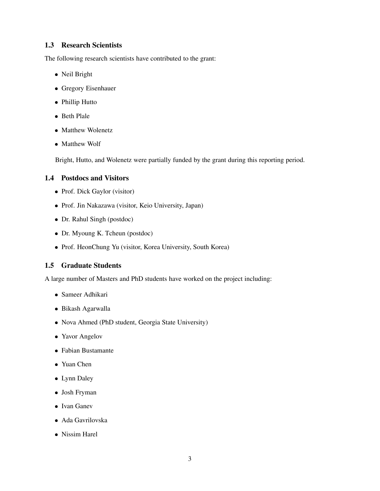# **1.3 Research Scientists**

The following research scientists have contributed to the grant:

- Neil Bright
- Gregory Eisenhauer
- Phillip Hutto
- Beth Plale
- Matthew Wolenetz
- Matthew Wolf

Bright, Hutto, and Wolenetz were partially funded by the grant during this reporting period.

# **1.4 Postdocs and Visitors**

- Prof. Dick Gaylor (visitor)
- Prof. Jin Nakazawa (visitor, Keio University, Japan)
- Dr. Rahul Singh (postdoc)
- Dr. Myoung K. Tcheun (postdoc)
- Prof. HeonChung Yu (visitor, Korea University, South Korea)

# **1.5 Graduate Students**

A large number of Masters and PhD students have worked on the project including:

- Sameer Adhikari
- Bikash Agarwalla
- Nova Ahmed (PhD student, Georgia State University)
- Yavor Angelov
- Fabian Bustamante
- Yuan Chen
- Lynn Daley
- Josh Fryman
- Ivan Ganev
- Ada Gavrilovska
- Nissim Harel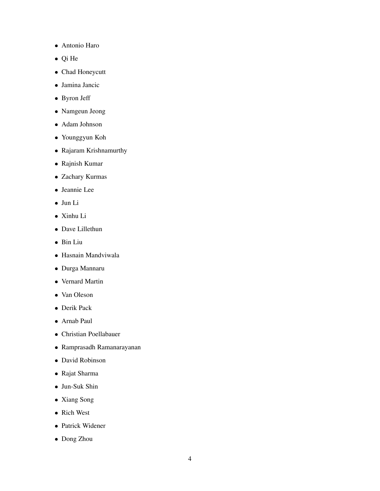- Antonio Haro
- Qi He
- Chad Honeycutt
- Jamina Jancic
- Byron Jeff
- Namgeun Jeong
- Adam Johnson
- Younggyun Koh
- Rajaram Krishnamurthy
- Rajnish Kumar
- Zachary Kurmas
- Jeannie Lee
- Jun Li
- Xinhu Li
- Dave Lillethun
- Bin Liu
- Hasnain Mandviwala
- Durga Mannaru
- Vernard Martin
- Van Oleson
- Derik Pack
- Arnab Paul
- Christian Poellabauer
- Ramprasadh Ramanarayanan
- David Robinson
- Rajat Sharma
- Jun-Suk Shin
- Xiang Song
- Rich West
- Patrick Widener
- Dong Zhou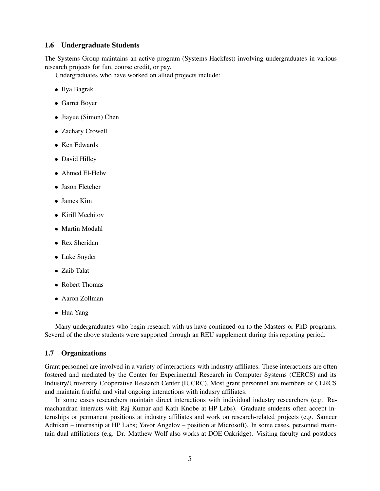#### **1.6 Undergraduate Students**

The Systems Group maintains an active program (Systems Hackfest) involving undergraduates in various research projects for fun, course credit, or pay.

Undergraduates who have worked on allied projects include:

- Ilya Bagrak
- Garret Boyer
- Jiayue (Simon) Chen
- Zachary Crowell
- Ken Edwards
- David Hilley
- Ahmed El-Helw
- Jason Fletcher
- James Kim
- Kirill Mechitov
- Martin Modahl
- Rex Sheridan
- Luke Snyder
- Zaib Talat
- Robert Thomas
- Aaron Zollman
- Hua Yang

Many undergraduates who begin research with us have continued on to the Masters or PhD programs. Several of the above students were supported through an REU supplement during this reporting period.

#### **1.7 Organizations**

Grant personnel are involved in a variety of interactions with industry affiliates. These interactions are often fostered and mediated by the Center for Experimental Research in Computer Systems (CERCS) and its Industry/University Cooperative Research Center (IUCRC). Most grant personnel are members of CERCS and maintain fruitful and vital ongoing interactions with indusry affiliates.

In some cases researchers maintain direct interactions with individual industry researchers (e.g. Ramachandran interacts with Raj Kumar and Kath Knobe at HP Labs). Graduate students often accept internships or permanent positions at industry affiliates and work on research-related projects (e.g. Sameer Adhikari – internship at HP Labs; Yavor Angelov – position at Microsoft). In some cases, personnel maintain dual affiliations (e.g. Dr. Matthew Wolf also works at DOE Oakridge). Visiting faculty and postdocs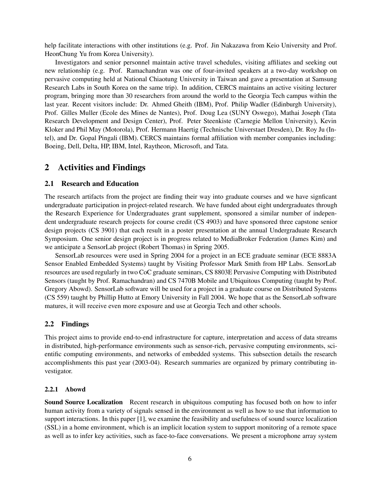help facilitate interactions with other institutions (e.g. Prof. Jin Nakazawa from Keio University and Prof. HeonChung Yu from Korea University).

Investigators and senior personnel maintain active travel schedules, visiting affiliates and seeking out new relationship (e.g. Prof. Ramachandran was one of four-invited speakers at a two-day workshop on pervasive computing held at National Chiaotung University in Taiwan and gave a presentation at Samsung Research Labs in South Korea on the same trip). In addition, CERCS maintains an active visiting lecturer program, bringing more than 30 researchers from around the world to the Georgia Tech campus within the last year. Recent visitors include: Dr. Ahmed Gheith (IBM), Prof. Philip Wadler (Edinburgh University), Prof. Gilles Muller (Ecole des Mines de Nantes), Prof. Doug Lea (SUNY Oswego), Mathai Joseph (Tata Research Development and Design Center), Prof. Peter Steenkiste (Carnegie Mellon University), Kevin Kloker and Phil May (Motorola), Prof. Hermann Haertig (Technische Universtaet Dresden), Dr. Roy Ju (Intel), and Dr. Gopal Pingali (IBM). CERCS maintains formal affiliation with member companies including: Boeing, Dell, Delta, HP, IBM, Intel, Raytheon, Microsoft, and Tata.

# **2 Activities and Findings**

#### **2.1 Research and Education**

The research artifacts from the project are finding their way into graduate courses and we have signficant undergraduate participation in project-related research. We have funded about eight undergraduates through the Research Experience for Undergraduates grant supplement, sponsored a similar number of independent undergraduate research projects for course credit (CS 4903) and have sponsored three capstone senior design projects (CS 3901) that each result in a poster presentation at the annual Undergraduate Research Symposium. One senior design project is in progress related to MediaBroker Federation (James Kim) and we anticipate a SensorLab project (Robert Thomas) in Spring 2005.

SensorLab resources were used in Spring 2004 for a project in an ECE graduate seminar (ECE 8883A Sensor Enabled Embedded Systems) taught by Visiting Professor Mark Smith from HP Labs. SensorLab resources are used regularly in two CoC graduate seminars, CS 8803E Pervasive Computing with Distributed Sensors (taught by Prof. Ramachandran) and CS 7470B Mobile and Ubiquitous Computing (taught by Prof. Gregory Abowd). SensorLab software will be used for a project in a graduate course on Distributed Systems (CS 559) taught by Phillip Hutto at Emory University in Fall 2004. We hope that as the SensorLab software matures, it will receive even more exposure and use at Georgia Tech and other schools.

# **2.2 Findings**

This project aims to provide end-to-end infrastructure for capture, interpretation and access of data streams in distributed, high-performance environments such as sensor-rich, pervasive computing environments, scientific computing environments, and networks of embedded systems. This subsection details the research accomplishments this past year (2003-04). Research summaries are organized by primary contributing investigator.

#### **2.2.1 Abowd**

**Sound Source Localization** Recent research in ubiquitous computing has focused both on how to infer human activity from a variety of signals sensed in the environment as well as how to use that information to support interactions. In this paper [1], we examine the feasibility and usefulness of sound source localization (SSL) in a home environment, which is an implicit location system to support monitoring of a remote space as well as to infer key activities, such as face-to-face conversations. We present a microphone array system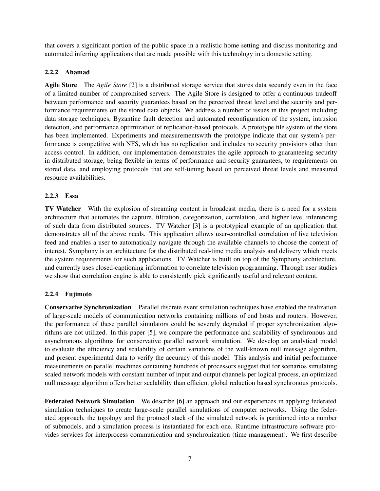that covers a significant portion of the public space in a realistic home setting and discuss monitoring and automated inferring applications that are made possible with this technology in a domestic setting.

## **2.2.2 Ahamad**

**Agile Store** The *Agile Store* [2] is a distributed storage service that stores data securely even in the face of a limited number of compromised servers. The Agile Store is designed to offer a continuous tradeoff between performance and security guarantees based on the perceived threat level and the security and performance requirements on the stored data objects. We address a number of issues in this project including data storage techniques, Byzantine fault detection and automated reconfiguration of the system, intrusion detection, and performance optimization of replication-based protocols. A prototype file system of the store has been implemented. Experiments and measurementswith the prototype indicate that our system's performance is competitive with NFS, which has no replication and includes no security provisions other than access control. In addition, our implementation demonstrates the agile approach to guaranteeing security in distributed storage, being flexible in terms of performance and security guarantees, to requirements on stored data, and employing protocols that are self-tuning based on perceived threat levels and measured resource availabilities.

## **2.2.3 Essa**

**TV Watcher** With the explosion of streaming content in broadcast media, there is a need for a system architecture that automates the capture, filtration, categorization, correlation, and higher level inferencing of such data from distributed sources. TV Watcher [3] is a prototypical example of an application that demonstrates all of the above needs. This application allows user-controlled correlation of live television feed and enables a user to automatically navigate through the available channels to choose the content of interest. Symphony is an architecture for the distributed real-time media analysis and delivery which meets the system requirements for such applications. TV Watcher is built on top of the Symphony architecture, and currently uses closed-captioning information to correlate television programming. Through user studies we show that correlation engine is able to consistently pick significantly useful and relevant content.

#### **2.2.4 Fujimoto**

**Conservative Synchronization** Parallel discrete event simulation techniques have enabled the realization of large-scale models of communication networks containing millions of end hosts and routers. However, the performance of these parallel simulators could be severely degraded if proper synchronization algorithms are not utilized. In this paper [5], we compare the performance and scalability of synchronous and asynchronous algorithms for conservative parallel network simulation. We develop an analytical model to evaluate the efficiency and scalability of certain variations of the well-known null message algorithm, and present experimental data to verify the accuracy of this model. This analysis and initial performance measurements on parallel machines containing hundreds of processors suggest that for scenarios simulating scaled network models with constant number of input and output channels per logical process, an optimized null message algorithm offers better scalability than efficient global reduction based synchronous protocols.

**Federated Network Simulation** We describe [6] an approach and our experiences in applying federated simulation techniques to create large-scale parallel simulations of computer networks. Using the federated approach, the topology and the protocol stack of the simulated network is partitioned into a number of submodels, and a simulation process is instantiated for each one. Runtime infrastructure software provides services for interprocess communication and synchronization (time management). We first describe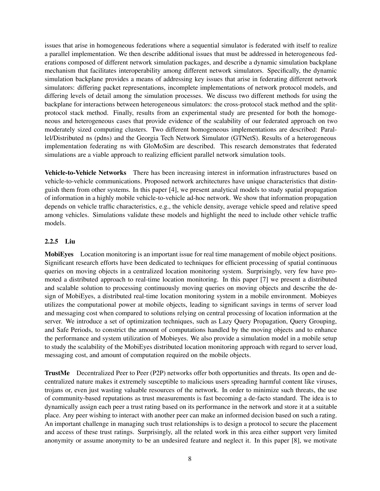issues that arise in homogeneous federations where a sequential simulator is federated with itself to realize a parallel implementation. We then describe additional issues that must be addressed in heterogeneous federations composed of different network simulation packages, and describe a dynamic simulation backplane mechanism that facilitates interoperability among different network simulators. Specifically, the dynamic simulation backplane provides a means of addressing key issues that arise in federating different network simulators: differing packet representations, incomplete implementations of network protocol models, and differing levels of detail among the simulation processes. We discuss two different methods for using the backplane for interactions between heterogeneous simulators: the cross-protocol stack method and the splitprotocol stack method. Finally, results from an experimental study are presented for both the homogeneous and heterogeneous cases that provide evidence of the scalability of our federated approach on two moderately sized computing clusters. Two different homogeneous implementations are described: Parallel/Distributed ns (pdns) and the Georgia Tech Network Simulator (GTNetS). Results of a heterogeneous implementation federating ns with GloMoSim are described. This research demonstrates that federated simulations are a viable approach to realizing efficient parallel network simulation tools.

**Vehicle-to-Vehicle Networks** There has been increasing interest in information infrastructures based on vehicle-to-vehicle communications. Proposed network architectures have unique characteristics that distinguish them from other systems. In this paper [4], we present analytical models to study spatial propagation of information in a highly mobile vehicle-to-vehicle ad-hoc network. We show that information propagation depends on vehicle traffic characteristics, e.g., the vehicle density, average vehicle speed and relative speed among vehicles. Simulations validate these models and highlight the need to include other vehicle traffic models.

## **2.2.5 Liu**

**MobiEyes** Location monitoring is an important issue for real time management of mobile object positions. Significant research efforts have been dedicated to techniques for efficient processing of spatial continuous queries on moving objects in a centralized location monitoring system. Surprisingly, very few have promoted a distributed approach to real-time location monitoring. In this paper [7] we present a distributed and scalable solution to processing continuously moving queries on moving objects and describe the design of MobiEyes, a distributed real-time location monitoring system in a mobile environment. Mobieyes utilizes the computational power at mobile objects, leading to significant savings in terms of server load and messaging cost when compared to solutions relying on central processing of location information at the server. We introduce a set of optimization techniques, such as Lazy Query Propagation, Query Grouping, and Safe Periods, to constrict the amount of computations handled by the moving objects and to enhance the performance and system utilization of Mobieyes. We also provide a simulation model in a mobile setup to study the scalability of the MobiEyes distributed location monitoring approach with regard to server load, messaging cost, and amount of computation required on the mobile objects.

**TrustMe** Decentralized Peer to Peer (P2P) networks offer both opportunities and threats. Its open and decentralized nature makes it extremely susceptible to malicious users spreading harmful content like viruses, trojans or, even just wasting valuable resources of the network. In order to minimize such threats, the use of community-based reputations as trust measurements is fast becoming a de-facto standard. The idea is to dynamically assign each peer a trust rating based on its performance in the network and store it at a suitable place. Any peer wishing to interact with another peer can make an informed decision based on such a rating. An important challenge in managing such trust relationships is to design a protocol to secure the placement and access of these trust ratings. Surprisingly, all the related work in this area either support very limited anonymity or assume anonymity to be an undesired feature and neglect it. In this paper [8], we motivate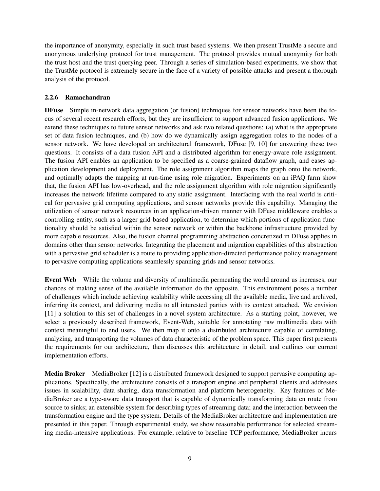the importance of anonymity, especially in such trust based systems. We then present TrustMe a secure and anonymous underlying protocol for trust management. The protocol provides mutual anonymity for both the trust host and the trust querying peer. Through a series of simulation-based experiments, we show that the TrustMe protocol is extremely secure in the face of a variety of possible attacks and present a thorough analysis of the protocol.

## **2.2.6 Ramachandran**

**DFuse** Simple in-network data aggregation (or fusion) techniques for sensor networks have been the focus of several recent research efforts, but they are insufficient to support advanced fusion applications. We extend these techniques to future sensor networks and ask two related questions: (a) what is the appropriate set of data fusion techniques, and (b) how do we dynamically assign aggregation roles to the nodes of a sensor network. We have developed an architectural framework, DFuse [9, 10] for answering these two questions. It consists of a data fusion API and a distributed algorithm for energy-aware role assignment. The fusion API enables an application to be specified as a coarse-grained dataflow graph, and eases application development and deployment. The role assignment algorithm maps the graph onto the network, and optimally adapts the mapping at run-time using role migration. Experiments on an iPAQ farm show that, the fusion API has low-overhead, and the role assignment algorithm with role migration significantly increases the network lifetime compared to any static assignment. Interfacing with the real world is critical for pervasive grid computing applications, and sensor networks provide this capability. Managing the utilization of sensor network resources in an application-driven manner with DFuse middleware enables a controlling entity, such as a larger grid-based application, to determine which portions of application functionality should be satisfied within the sensor network or within the backbone infrastructure provided by more capable resources. Also, the fusion channel programming abstraction concretized in DFuse applies in domains other than sensor networks. Integrating the placement and migration capabilities of this abstraction with a pervasive grid scheduler is a route to providing application-directed performance policy management to pervasive computing applications seamlessly spanning grids and sensor networks.

**Event Web** While the volume and diversity of multimedia permeating the world around us increases, our chances of making sense of the available information do the opposite. This environment poses a number of challenges which include achieving scalability while accessing all the available media, live and archived, inferring its context, and delivering media to all interested parties with its context attached. We envision [11] a solution to this set of challenges in a novel system architecture. As a starting point, however, we select a previously described framework, Event-Web, suitable for annotating raw multimedia data with context meaningful to end users. We then map it onto a distributed architecture capable of correlating, analyzing, and transporting the volumes of data characteristic of the problem space. This paper first presents the requirements for our architecture, then discusses this architecture in detail, and outlines our current implementation efforts.

**Media Broker** MediaBroker [12] is a distributed framework designed to support pervasive computing applications. Specifically, the architecture consists of a transport engine and peripheral clients and addresses issues in scalability, data sharing, data transformation and platform heterogeneity. Key features of MediaBroker are a type-aware data transport that is capable of dynamically transforming data en route from source to sinks; an extensible system for describing types of streaming data; and the interaction between the transformation engine and the type system. Details of the MediaBroker architecture and implementation are presented in this paper. Through experimental study, we show reasonable performance for selected streaming media-intensive applications. For example, relative to baseline TCP performance, MediaBroker incurs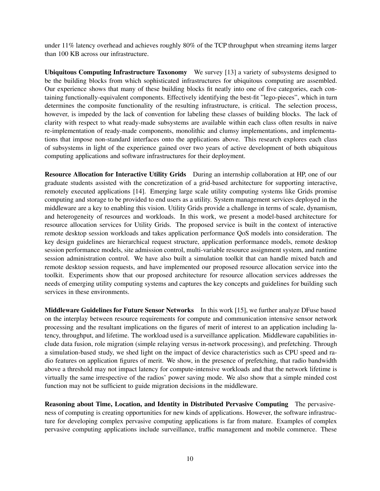under 11% latency overhead and achieves roughly 80% of the TCP throughput when streaming items larger than 100 KB across our infrastructure.

**Ubiquitous Computing Infrastructure Taxonomy** We survey [13] a variety of subsystems designed to be the building blocks from which sophisticated infrastructures for ubiquitous computing are assembled. Our experience shows that many of these building blocks fit neatly into one of five categories, each containing functionally-equivalent components. Effectively identifying the best-fit "lego-pieces", which in turn determines the composite functionality of the resulting infrastructure, is critical. The selection process, however, is impeded by the lack of convention for labeling these classes of building blocks. The lack of clarity with respect to what ready-made subsystems are available within each class often results in naive re-implementation of ready-made components, monolithic and clumsy implementations, and implementations that impose non-standard interfaces onto the applications above. This research explores each class of subsystems in light of the experience gained over two years of active development of both ubiquitous computing applications and software infrastructures for their deployment.

**Resource Allocation for Interactive Utility Grids** During an internship collaboration at HP, one of our graduate students assisted with the concretization of a grid-based architecture for supporting interactive, remotely executed applications [14]. Emerging large scale utility computing systems like Grids promise computing and storage to be provided to end users as a utility. System management services deployed in the middleware are a key to enabling this vision. Utility Grids provide a challenge in terms of scale, dynamism, and heterogeneity of resources and workloads. In this work, we present a model-based architecture for resource allocation services for Utility Grids. The proposed service is built in the context of interactive remote desktop session workloads and takes application performance QoS models into consideration. The key design guidelines are hierarchical request structure, application performance models, remote desktop session performance models, site admission control, multi-variable resource assignment system, and runtime session administration control. We have also built a simulation toolkit that can handle mixed batch and remote desktop session requests, and have implemented our proposed resource allocation service into the toolkit. Experiments show that our proposed architecture for resource allocation services addresses the needs of emerging utility computing systems and captures the key concepts and guidelines for building such services in these environments.

**Middleware Guidelines for Future Sensor Networks** In this work [15], we further analyze DFuse based on the interplay between resource requirements for compute and communication intensive sensor network processing and the resultant implications on the figures of merit of interest to an application including latency, throughput, and lifetime. The workload used is a surveillance application. Middleware capabilities include data fusion, role migration (simple relaying versus in-network processing), and prefetching. Through a simulation-based study, we shed light on the impact of device characteristics such as CPU speed and radio features on application figures of merit. We show, in the presence of prefetching, that radio bandwidth above a threshold may not impact latency for compute-intensive workloads and that the network lifetime is virtually the same irrespective of the radios' power saving mode. We also show that a simple minded cost function may not be sufficient to guide migration decisions in the middleware.

**Reasoning about Time, Location, and Identity in Distributed Pervasive Computing** The pervasiveness of computing is creating opportunities for new kinds of applications. However, the software infrastructure for developing complex pervasive computing applications is far from mature. Examples of complex pervasive computing applications include surveillance, traffic management and mobile commerce. These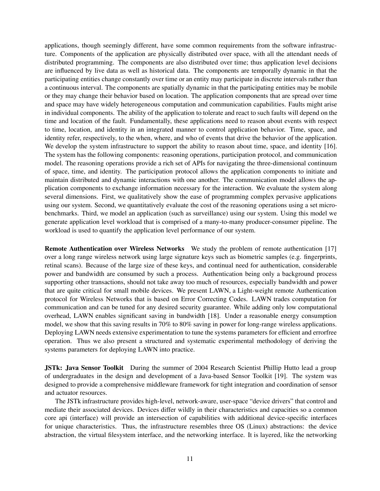applications, though seemingly different, have some common requirements from the software infrastructure. Components of the application are physically distributed over space, with all the attendant needs of distributed programming. The components are also distributed over time; thus application level decisions are influenced by live data as well as historical data. The components are temporally dynamic in that the participating entities change constantly over time or an entity may participate in discrete intervals rather than a continuous interval. The components are spatially dynamic in that the participating entities may be mobile or they may change their behavior based on location. The application components that are spread over time and space may have widely heterogeneous computation and communication capabilities. Faults might arise in individual components. The ability of the application to tolerate and react to such faults will depend on the time and location of the fault. Fundamentally, these applications need to reason about events with respect to time, location, and identity in an integrated manner to control application behavior. Time, space, and identity refer, respectively, to the when, where, and who of events that drive the behavior of the application. We develop the system infrastructure to support the ability to reason about time, space, and identity [16]. The system has the following components: reasoning operations, participation protocol, and communication model. The reasoning operations provide a rich set of APIs for navigating the three-dimensional continuum of space, time, and identity. The participation protocol allows the application components to initiate and maintain distributed and dynamic interactions with one another. The communication model allows the application components to exchange information necessary for the interaction. We evaluate the system along several dimensions. First, we qualitatively show the ease of programming complex pervasive applications using our system. Second, we quantitatively evaluate the cost of the reasoning operations using a set microbenchmarks. Third, we model an application (such as surveillance) using our system. Using this model we generate application level workload that is comprised of a many-to-many producer-consumer pipeline. The workload is used to quantify the application level performance of our system.

**Remote Authentication over Wireless Networks** We study the problem of remote authentication [17] over a long range wireless network using large signature keys such as biometric samples (e.g. fingerprints, retinal scans). Because of the large size of these keys, and continual need for authentication, considerable power and bandwidth are consumed by such a process. Authentication being only a background process supporting other transactions, should not take away too much of resources, especially bandwidth and power that are quite critical for small mobile devices. We present LAWN, a Light-weight remote Authentication protocol for Wireless Networks that is based on Error Correcting Codes. LAWN trades computation for communication and can be tuned for any desired security guarantee. While adding only low computational overhead, LAWN enables significant saving in bandwidth [18]. Under a reasonable energy consumption model, we show that this saving results in 70% to 80% saving in power for long-range wireless applications. Deploying LAWN needs extensive experimentation to tune the systems parameters for efficient and errorfree operation. Thus we also present a structured and systematic experimental methodology of deriving the systems parameters for deploying LAWN into practice.

**JSTk: Java Sensor Toolkit** During the summer of 2004 Research Scientist Phillip Hutto lead a group of undergraduates in the design and development of a Java-based Sensor Toolkit [19]. The system was designed to provide a comprehensive middleware framework for tight integration and coordination of sensor and actuator resources.

The JSTk infrastructure provides high-level, network-aware, user-space "device drivers" that control and mediate their associated devices. Devices differ wildly in their characteristics and capacities so a common core api (interface) will provide an intersection of capabilities with additional device-specific interfaces for unique characteristics. Thus, the infrastructure resembles three OS (Linux) abstractions: the device abstraction, the virtual filesystem interface, and the networking interface. It is layered, like the networking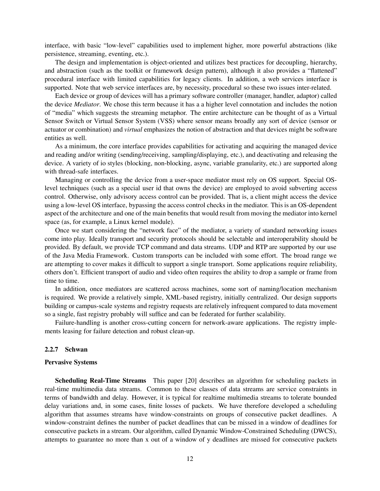interface, with basic "low-level" capabilities used to implement higher, more powerful abstractions (like persistence, streaming, eventing, etc.).

The design and implementation is object-oriented and utilizes best practices for decoupling, hierarchy, and abstraction (such as the toolkit or framework design pattern), although it also provides a "flattened" procedural interface with limited capabilities for legacy clients. In addition, a web services interface is supported. Note that web service interfaces are, by necessity, procedural so these two issues inter-related.

Each device or group of devices will has a primary software controller (manager, handler, adaptor) called the device *Mediator*. We chose this term because it has a a higher level connotation and includes the notion of "media" which suggests the streaming metaphor. The entire architecture can be thought of as a Virtual Sensor Switch or Virtual Sensor System (VSS) where sensor means broadly any sort of device (sensor or actuator or combination) and *virtual* emphasizes the notion of abstraction and that devices might be software entities as well.

As a minimum, the core interface provides capabilities for activating and acquiring the managed device and reading and/or writing (sending/receiving, sampling/displaying, etc.), and deactivating and releasing the device. A variety of io styles (blocking, non-blocking, async, variable granularity, etc.) are supported along with thread-safe interfaces.

Managing or controlling the device from a user-space mediator must rely on OS support. Special OSlevel techniques (such as a special user id that owns the device) are employed to avoid subverting access control. Otherwise, only advisory access control can be provided. That is, a client might access the device using a low-level OS interface, bypassing the access control checks in the mediator. This is an OS-dependent aspect of the architecture and one of the main benefits that would result from moving the mediator into kernel space (as, for example, a Linux kernel module).

Once we start considering the "network face" of the mediator, a variety of standard networking issues come into play. Ideally transport and security protocols should be selectable and interoperability should be provided. By default, we provide TCP command and data streams. UDP and RTP are supported by our use of the Java Media Framework. Custom transports can be included with some effort. The broad range we are attempting to cover makes it difficult to support a single transport. Some applications require reliability, others don't. Efficient transport of audio and video often requires the ability to drop a sample or frame from time to time.

In addition, once mediators are scattered across machines, some sort of naming/location mechanism is required. We provide a relatively simple, XML-based registry, initially centralized. Our design supports building or campus-scale systems and registry requests are relatively infrequent compared to data movement so a single, fast registry probably will suffice and can be federated for further scalability.

Failure-handling is another cross-cutting concern for network-aware applications. The registry implements leasing for failure detection and robust clean-up.

#### **2.2.7 Schwan**

#### **Pervasive Systems**

**Scheduling Real-Time Streams** This paper [20] describes an algorithm for scheduling packets in real-time multimedia data streams. Common to these classes of data streams are service constraints in terms of bandwidth and delay. However, it is typical for realtime multimedia streams to tolerate bounded delay variations and, in some cases, finite losses of packets. We have therefore developed a scheduling algorithm that assumes streams have window-constraints on groups of consecutive packet deadlines. A window-constraint defines the number of packet deadlines that can be missed in a window of deadlines for consecutive packets in a stream. Our algorithm, called Dynamic Window-Constrained Scheduling (DWCS), attempts to guarantee no more than x out of a window of y deadlines are missed for consecutive packets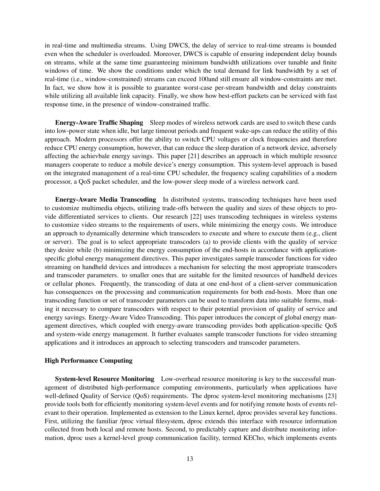in real-time and multimedia streams. Using DWCS, the delay of service to real-time streams is bounded even when the scheduler is overloaded. Moreover, DWCS is capable of ensuring independent delay bounds on streams, while at the same time guaranteeing minimum bandwidth utilizations over tunable and finite windows of time. We show the conditions under which the total demand for link bandwidth by a set of real-time (i.e., window-constrained) streams can exceed 100and still ensure all window-constraints are met. In fact, we show how it is possible to guarantee worst-case per-stream bandwidth and delay constraints while utilizing all available link capacity. Finally, we show how best-effort packets can be serviced with fast response time, in the presence of window-constrained traffic.

**Energy-Aware Traffic Shaping** Sleep modes of wireless network cards are used to switch these cards into low-power state when idle, but large timeout periods and frequent wake-ups can reduce the utility of this approach. Modern processors offer the ability to switch CPU voltages or clock frequencies and therefore reduce CPU energy consumption, however, that can reduce the sleep duration of a network device, adversely affecting the achievbale energy savings. This paper [21] describes an approach in which multiple resource managers cooperate to reduce a mobile device's energy consumption. This system-level approach is based on the integrated management of a real-time CPU scheduler, the frequency scaling capabilities of a modern processor, a QoS packet scheduler, and the low-power sleep mode of a wireless network card.

**Energy-Aware Media Transcoding** In distributed systems, transcoding techniques have been used to customize multimedia objects, utilizing trade-offs between the quality and sizes of these objects to provide differentiated services to clients. Our research [22] uses transcoding techniques in wireless systems to customize video streams to the requirements of users, while minimizing the energy costs. We introduce an approach to dynamically determine which transcoders to execute and where to execute them (e.g., client or server). The goal is to select appropriate transcoders (a) to provide clients with the quality of service they desire while (b) minimizing the energy consumption of the end-hosts in accordance with applicationspecific global energy management directives. This paper investigates sample transcoder functions for video streaming on handheld devices and introduces a mechanism for selecting the most appropriate transcoders and transcoder parameters. to smaller ones that are suitable for the limited resources of handheld devices or cellular phones. Frequently, the transcoding of data at one end-host of a client-server communication has consequences on the processing and communication requirements for both end-hosts. More than one transcoding function or set of transcoder parameters can be used to transform data into suitable forms, making it necessary to compare transcoders with respect to their potential provision of quality of service and energy savings. Energy-Aware Video Transcoding. This paper introduces the concept of global energy management directives, which coupled with energy-aware transcoding provides both application-specific QoS and system-wide energy management. It further evaluates sample transcoder functions for video streaming applications and it introduces an approach to selecting transcoders and transcoder parameters.

#### **High Performance Computing**

**System-level Resource Monitoring** Low-overhead resource monitoring is key to the successful management of distributed high-performance computing environments, particularly when applications have well-defined Quality of Service (QoS) requirements. The dproc system-level monitoring mechanisms [23] provide tools both for efficiently monitoring system-level events and for notifying remote hosts of events relevant to their operation. Implemented as extension to the Linux kernel, dproc provides several key functions. First, utilizing the familiar /proc virtual filesystem, dproc extends this interface with resource information collected from both local and remote hosts. Second, to predictably capture and distribute monitoring information, dproc uses a kernel-level group communication facility, termed KECho, which implements events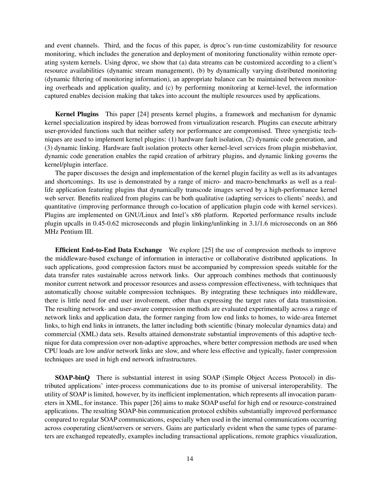and event channels. Third, and the focus of this paper, is dproc's run-time customizability for resource monitoring, which includes the generation and deployment of monitoring functionality within remote operating system kernels. Using dproc, we show that (a) data streams can be customized according to a client's resource availabilities (dynamic stream management), (b) by dynamically varying distributed monitoring (dynamic filtering of monitoring information), an appropriate balance can be maintained between monitoring overheads and application quality, and (c) by performing monitoring at kernel-level, the information captured enables decision making that takes into account the multiple resources used by applications.

**Kernel Plugins** This paper [24] presents kernel plugins, a framework and mechanism for dynamic kernel specialization inspired by ideas borrowed from virtualization research. Plugins can execute arbitrary user-provided functions such that neither safety nor performance are compromised. Three synergistic techniques are used to implement kernel plugins: (1) hardware fault isolation, (2) dynamic code generation, and (3) dynamic linking. Hardware fault isolation protects other kernel-level services from plugin misbehavior, dynamic code generation enables the rapid creation of arbitrary plugins, and dynamic linking governs the kernel/plugin interface.

The paper discusses the design and implementation of the kernel plugin facility as well as its advantages and shortcomings. Its use is demonstrated by a range of micro- and macro-benchmarks as well as a reallife application featuring plugins that dynamically transcode images served by a high-performance kernel web server. Benefits realized from plugins can be both qualitative (adapting services to clients' needs), and quantitative (improving performance through co-location of application plugin code with kernel services). Plugins are implemented on GNU/Linux and Intel's x86 platform. Reported performance results include plugin upcalls in 0.45-0.62 microseconds and plugin linking/unlinking in 3.1/1.6 microseconds on an 866 MHz Pentium III.

**Efficient End-to-End Data Exchange** We explore [25] the use of compression methods to improve the middleware-based exchange of information in interactive or collaborative distributed applications. In such applications, good compression factors must be accompanied by compression speeds suitable for the data transfer rates sustainable across network links. Our approach combines methods that continuously monitor current network and processor resources and assess compression effectiveness, with techniques that automatically choose suitable compression techniques. By integrating these techniques into middleware, there is little need for end user involvement, other than expressing the target rates of data transmission. The resulting network- and user-aware compression methods are evaluated experimentally across a range of network links and application data, the former ranging from low end links to homes, to wide-area Internet links, to high end links in intranets, the latter including both scientific (binary molecular dynamics data) and commercial (XML) data sets. Results attained demonstrate substantial improvements of this adaptive technique for data compression over non-adaptive approaches, where better compression methods are used when CPU loads are low and/or network links are slow, and where less effective and typically, faster compression techniques are used in high end network infrastructures.

**SOAP-binQ** There is substantial interest in using SOAP (Simple Object Access Protocol) in distributed applications' inter-process communications due to its promise of universal interoperability. The utility of SOAP is limited, however, by its inefficient implementation, which represents all invocation parameters in XML, for instance. This paper [26] aims to make SOAP useful for high end or resource-constrained applications. The resulting SOAP-bin communication protocol exhibits substantially improved performance compared to regular SOAP communications, especially when used in the internal communications occurring across cooperating client/servers or servers. Gains are particularly evident when the same types of parameters are exchanged repeatedly, examples including transactional applications, remote graphics visualization,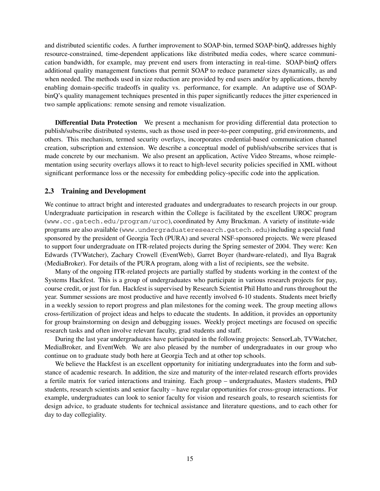and distributed scientific codes. A further improvement to SOAP-bin, termed SOAP-binQ, addresses highly resource-constrained, time-dependent applications like distributed media codes, where scarce communication bandwidth, for example, may prevent end users from interacting in real-time. SOAP-binQ offers additional quality management functions that permit SOAP to reduce parameter sizes dynamically, as and when needed. The methods used in size reduction are provided by end users and/or by applications, thereby enabling domain-specific tradeoffs in quality vs. performance, for example. An adaptive use of SOAPbinQ's quality management techniques presented in this paper significantly reduces the jitter experienced in two sample applications: remote sensing and remote visualization.

**Differential Data Protection** We present a mechanism for providing differential data protection to publish/subscribe distributed systems, such as those used in peer-to-peer computing, grid environments, and others. This mechanism, termed security overlays, incorporates credential-based communication channel creation, subscription and extension. We describe a conceptual model of publish/subscribe services that is made concrete by our mechanism. We also present an application, Active Video Streams, whose reimplementation using security overlays allows it to react to high-level security policies specified in XML without significant performance loss or the necessity for embedding policy-specific code into the application.

#### **2.3 Training and Development**

We continue to attract bright and interested graduates and undergraduates to research projects in our group. Undergraduate participation in research within the College is facilitated by the excellent UROC program (www.cc.gatech.edu/program/uroc), coordinated by Amy Bruckman. A variety of institute-wide programs are also available (www.undergraduateresearch.gatech.edu) including a special fund sponsored by the president of Georgia Tech (PURA) and several NSF-sponsored projects. We were pleased to support four undergraduate on ITR-related projects during the Spring semester of 2004. They were: Ken Edwards (TVWatcher), Zachary Crowell (EventWeb), Garret Boyer (hardware-related), and Ilya Bagrak (MediaBroker). For details of the PURA program, along with a list of recipients, see the website.

Many of the ongoing ITR-related projects are partially staffed by students working in the context of the Systems Hackfest. This is a group of undergraduates who participate in various research projects for pay, course credit, or just for fun. Hackfest is supervised by Research Scientist Phil Hutto and runs throughout the year. Summer sessions are most productive and have recently involved 6-10 students. Students meet briefly in a weekly session to report progress and plan milestones for the coming week. The group meeting allows cross-fertilization of project ideas and helps to educate the students. In addition, it provides an opportunity for group brainstorming on design and debugging issues. Weekly project meetings are focused on specific research tasks and often involve relevant faculty, grad students and staff.

During the last year undergraduates have participated in the following projects: SensorLab, TVWatcher, MediaBroker, and EventWeb. We are also pleased by the number of undergraduates in our group who continue on to graduate study both here at Georgia Tech and at other top schools.

We believe the Hackfest is an excellent opportunity for initiating undergraduates into the form and substance of academic research. In addition, the size and maturity of the inter-related research efforts provides a fertile matrix for varied interactions and training. Each group – undergraduates, Masters students, PhD students, research scientists and senior faculty – have regular opportunities for cross-group interactions. For example, undergraduates can look to senior faculty for vision and research goals, to research scientists for design advice, to graduate students for technical assistance and literature questions, and to each other for day to day collegiality.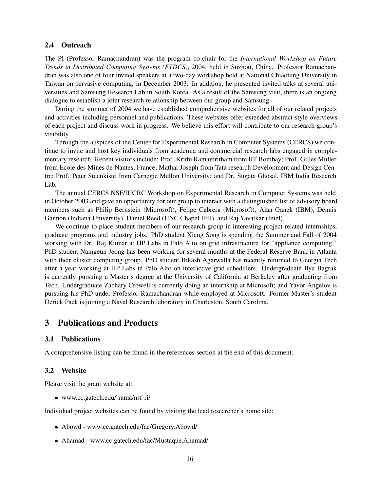#### **2.4 Outreach**

The PI (Professor Ramachandran) was the program co-chair for the *International Workshop on Future Trends in Distributed Computing Systems (FTDCS)*, 2004, held in Suzhou, China. Professor Ramachandran was also one of four invited speakers at a two-day workshop held at National Chiaotung University in Taiwan on pervasive computing, in December 2003. In addition, he presented invited talks at several universities and Samsung Research Lab in South Korea. As a result of the Samsung visit, there is an ongoing dialogue to establish a joint research relationship between our group and Samsung.

During the summer of 2004 we have established comprehensive websites for all of our related projects and activities including personnel and publications. These websites offer extended abstract-style overviews of each project and discuss work in progress. We believe this effort will contribute to our research group's visibility.

Through the auspices of the Center for Experimental Research in Computer Systems (CERCS) we continue to invite and host key individuals from academia and commercial research labs engaged in complementary research. Recent visitors include: Prof. Krithi Ramamritham from IIT Bombay; Prof. Gilles Muller from Ecole des Mines de Nantes, France; Mathai Joseph from Tata research Development and Design Centre; Prof. Peter Steenkiste from Carnegie Mellon University; and Dr. Sugata Ghosal, IBM India Research Lab.

The annual CERCS NSF/IUCRC Workshop on Experimental Research in Computer Systems was held in October 2003 and gave an opportunity for our group to interact with a distinguished list of advisory board members such as Philip Bernstein (Microsoft), Felipe Cabrera (Microsoft), Alan Ganek (IBM), Dennis Gannon (Indiana University), Daniel Reed (UNC Chapel Hill), and Raj Yavatkar (Intel).

We continue to place student members of our research group in interesting project-related internships, graduate programs and industry jobs. PhD student Xiang Song is spending the Summer and Fall of 2004 working with Dr. Raj Kumar at HP Labs in Palo Alto on grid infrastructure for "appliance computing." PhD student Namgeun Jeong has been working for several months at the Federal Reserve Bank in Atlanta with their cluster computing group. PhD student Bikash Agarwalla has recently returned to Georgia Tech after a year working at HP Labs in Palo Alto on interactive grid schedulers. Undergraduate Ilya Bagrak is currently pursuing a Master's degree at the University of California at Berkeley after graduating from Tech. Undergraduate Zachary Crowell is currently doing an internship at Microsoft; and Yavor Angelov is pursuing his PhD under Professor Ramachandran while employed at Microsoft. Former Master's student Derick Pack is joining a Naval Research laboratory in Charleston, South Carolina.

# **3 Publications and Products**

#### **3.1 Publications**

A comprehensive listing can be found in the references section at the end of this document.

#### **3.2 Website**

Please visit the grant website at:

www.cc.gatech.edu/˜rama/nsf-ri/

Individual project websites can be found by visiting the lead researcher's home site:

- Abowd www.cc.gatech.edu/fac/Gregory.Abowd/
- Ahamad www.cc.gatech.edu/fac/Mustaque.Ahamad/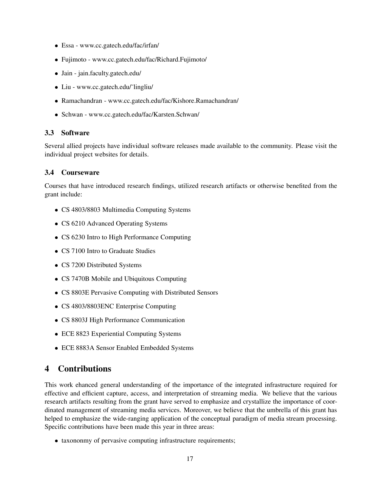- Essa www.cc.gatech.edu/fac/irfan/
- Fujimoto www.cc.gatech.edu/fac/Richard.Fujimoto/
- Jain jain.faculty.gatech.edu/
- Liu www.cc.gatech.edu/˜lingliu/
- Ramachandran www.cc.gatech.edu/fac/Kishore.Ramachandran/
- Schwan www.cc.gatech.edu/fac/Karsten.Schwan/

#### **3.3 Software**

Several allied projects have individual software releases made available to the community. Please visit the individual project websites for details.

#### **3.4 Courseware**

Courses that have introduced research findings, utilized research artifacts or otherwise benefited from the grant include:

- CS 4803/8803 Multimedia Computing Systems
- CS 6210 Advanced Operating Systems
- CS 6230 Intro to High Performance Computing
- CS 7100 Intro to Graduate Studies
- CS 7200 Distributed Systems
- CS 7470B Mobile and Ubiquitous Computing
- CS 8803E Pervasive Computing with Distributed Sensors
- CS 4803/8803ENC Enterprise Computing
- CS 8803J High Performance Communication
- ECE 8823 Experiential Computing Systems
- ECE 8883A Sensor Enabled Embedded Systems

# **4 Contributions**

This work ehanced general understanding of the importance of the integrated infrastructure required for effective and efficient capture, access, and interpretation of streaming media. We believe that the various research artifacts resulting from the grant have served to emphasize and crystallize the importance of coordinated management of streaming media services. Moreover, we believe that the umbrella of this grant has helped to emphasize the wide-ranging application of the conceptual paradigm of media stream processing. Specific contributions have been made this year in three areas:

• taxononmy of pervasive computing infrastructure requirements;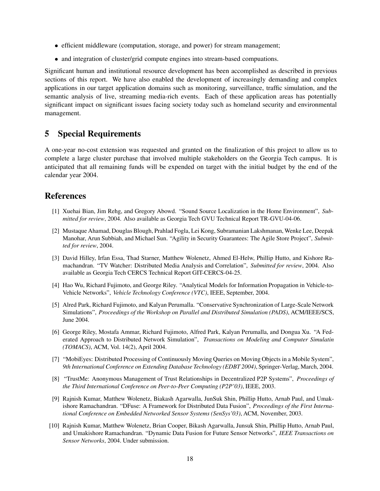- efficient middleware (computation, storage, and power) for stream management;
- and integration of cluster/grid compute engines into stream-based compuations.

Significant human and institutional resource development has been accomplished as described in previous sections of this report. We have also enabled the development of increasingly demanding and complex applications in our target application domains such as monitoring, surveillance, traffic simulation, and the semantic analysis of live, streaming media-rich events. Each of these application areas has potentially significant impact on significant issues facing society today such as homeland security and environmental management.

# **5 Special Requirements**

A one-year no-cost extension was requested and granted on the finalization of this project to allow us to complete a large cluster purchase that involved multiple stakeholders on the Georgia Tech campus. It is anticipated that all remaining funds will be expended on target with the initial budget by the end of the calendar year 2004.

# **References**

- [1] Xuehai Bian, Jim Rehg, and Gregory Abowd. "Sound Source Localization in the Home Environment", *Submitted for review*, 2004. Also available as Georgia Tech GVU Technical Report TR-GVU-04-06.
- [2] Mustaque Ahamad, Douglas Blough, Prahlad Fogla, Lei Kong, Subramanian Lakshmanan, Wenke Lee, Deepak Manohar, Arun Subbiah, and Michael Sun. "Agility in Security Guarantees: The Agile Store Project", *Submitted for review*, 2004.
- [3] David Hilley, Irfan Essa, Thad Starner, Matthew Wolenetz, Ahmed El-Helw, Phillip Hutto, and Kishore Ramachandran. "TV Watcher: Distributed Media Analysis and Correlation", *Submitted for review*, 2004. Also available as Georgia Tech CERCS Technical Report GIT-CERCS-04-25.
- [4] Hao Wu, Richard Fujimoto, and George Riley. "Analytical Models for Information Propagation in Vehicle-to-Vehicle Networks", *Vehicle Technology Conference (VTC)*, IEEE, September, 2004.
- [5] Alred Park, Richard Fujimoto, and Kalyan Perumalla. "Conservative Synchronization of Large-Scale Network Simulations", *Proceedings of the Workshop on Parallel and Distributed Simulation (PADS)*, ACM/IEEE/SCS, June 2004.
- [6] George Riley, Mostafa Ammar, Richard Fujimoto, Alfred Park, Kalyan Perumalla, and Dongua Xu. "A Federated Approach to Distributed Network Simulation", *Transactions on Modeling and Computer Simulatin (TOMACS)*, ACM, Vol. 14(2), April 2004.
- [7] "MobiEyes: Distributed Processing of Continuously Moving Queries on Moving Objects in a Mobile System", *9th International Conference on Extending Database Technology (EDBT 2004)*, Springer-Verlag, March, 2004.
- [8] "TrustMe: Anonymous Management of Trust Relationships in Decentralized P2P Systems", *Proceedings of the Third International Conference on Peer-to-Peer Computing (P2P'03)*, IEEE, 2003.
- [9] Rajnish Kumar, Matthew Wolenetz, Biakash Agarwalla, JunSuk Shin, Phillip Hutto, Arnab Paul, and Umakishore Ramachandran. "DFuse: A Framework for Distributed Data Fusion", *Proceedings of the First International Conference on Embedded Networked Sensor Systems (SenSys'03)*, ACM, November, 2003.
- [10] Rajnish Kumar, Matthew Wolenetz, Brian Cooper, Bikash Agarwalla, Junsuk Shin, Phillip Hutto, Arnab Paul, and Umakishore Ramachandran. "Dynamic Data Fusion for Future Sensor Networks", *IEEE Transactions on Sensor Networks*, 2004. Under submission.